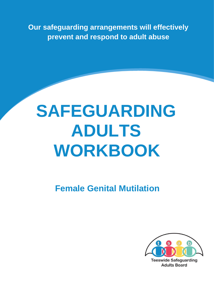**Our safeguarding arrangements will effectively prevent and respond to adult abuse** 

# **SAFEGUARDING ADULTS WORKBOOK**

**Female Genital Mutilation** 



**Adults Board**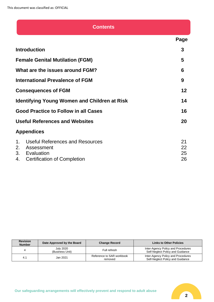| <b>Contents</b>                                                                                                                           |                      |
|-------------------------------------------------------------------------------------------------------------------------------------------|----------------------|
|                                                                                                                                           | Page                 |
| <b>Introduction</b>                                                                                                                       | 3                    |
| <b>Female Genital Mutilation (FGM)</b>                                                                                                    | 5                    |
| What are the issues around FGM?                                                                                                           | 6                    |
| <b>International Prevalence of FGM</b>                                                                                                    | 9                    |
| <b>Consequences of FGM</b>                                                                                                                | 12                   |
| <b>Identifying Young Women and Children at Risk</b>                                                                                       | 14                   |
| <b>Good Practice to Follow in all Cases</b>                                                                                               | 16                   |
| <b>Useful References and Websites</b>                                                                                                     | 20                   |
| <b>Appendices</b>                                                                                                                         |                      |
| <b>Useful References and Resources</b><br>$\mathbf{1}$ .<br>2.<br>Assessment<br>3. Evaluation<br>4.<br><b>Certification of Completion</b> | 21<br>22<br>25<br>26 |

| <b>Revision</b><br><b>Number</b> | Date Approved by the Board          | <b>Change Record</b>                 | <b>Links to Other Policies</b>                                         |
|----------------------------------|-------------------------------------|--------------------------------------|------------------------------------------------------------------------|
|                                  | <b>July 2020</b><br>(Business Unit) | Full refresh                         | Inter-Agency Policy and Procedures<br>Self-Neglect Policy and Guidance |
| 4.1                              | Jan 2021                            | Reference to SAR workbook<br>removed | Inter-Agency Policy and Procedures<br>Self-Neglect Policy and Guidance |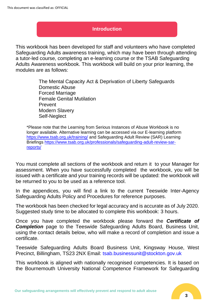# **Introduction**

This workbook has been developed for staff and volunteers who have completed Safeguarding Adults awareness training, which may have been through attending a tutor-led course, completing an e-learning course or the TSAB Safeguarding Adults Awareness workbook. This workbook will build on your prior learning, the modules are as follows:

> The Mental Capacity Act & Deprivation of Liberty Safeguards Domestic Abuse Forced Marriage Female Genital Mutilation Prevent Modern Slavery Self-Neglect

\*Please note that the Learning from Serious Instances of Abuse Workbook is no longer available. Alternative learning can be accessed via our E-learning platform <https://www.tsab.org.uk/training/> and Safeguarding Adult Review (SAR) Learning Briefings [https://www.tsab.org.uk/professionals/safeguarding-adult-review-sar](https://www.tsab.org.uk/professionals/safeguarding-adult-review-sar-reports/)[reports/](https://www.tsab.org.uk/professionals/safeguarding-adult-review-sar-reports/)

You must complete all sections of the workbook and return it to your Manager for assessment. When you have successfully completed the workbook, you will be issued with a certificate and your training records will be updated: the workbook will be returned to you to be used as a reference tool.

In the appendices, you will find a link to the current Teeswide Inter-Agency Safeguarding Adults Policy and Procedures for reference purposes.

The workbook has been checked for legal accuracy and is accurate as of July 2020. Suggested study time to be allocated to complete this workbook: 3 hours.

Once you have completed the workbook please forward the *Certificate of*  **Completion** page to the Teeswide Safeguarding Adults Board, Business Unit, using the contact details below, who will make a record of completion and issue a certificate.

Teeswide Safeguarding Adults Board Business Unit, Kingsway House, West Precinct, Billingham, TS23 2NX Email: tsab.businessunit@stockton.gov.uk

This workbook is aligned with nationally recognised competencies. It is based on the Bournemouth University National Competence Framework for Safeguarding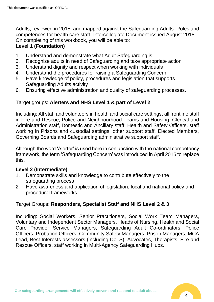Adults, reviewed in 2015, and mapped against the Safeguarding Adults: Roles and competences for health care staff- Intercollegiate Document issued August 2018. On completing of this workbook, you will be able to:

# **Level 1 (Foundation)**

- 1. Understand and demonstrate what Adult Safeguarding is
- 2. Recognise adults in need of Safeguarding and take appropriate action
- 3. Understand dignity and respect when working with individuals
- 4. Understand the procedures for raising a Safeguarding Concern
- 5. Have knowledge of policy, procedures and legislation that supports Safeguarding Adults activity
- 6. Ensuring effective administration and quality of safeguarding processes.

# Target groups: **Alerters and NHS Level 1 & part of Level 2**

Including: All staff and volunteers in health and social care settings, all frontline staff in Fire and Rescue, Police and Neighbourhood Teams and Housing, Clerical and Administration staff, Domestic and Ancillary staff, Health and Safety Officers, staff working in Prisons and custodial settings, other support staff, Elected Members, Governing Boards and Safeguarding administrative support staff.

Although the word 'Alerter' is used here in conjunction with the national competency framework, the term 'Safeguarding Concern' was introduced in April 2015 to replace this.

# **Level 2 (Intermediate)**

- 1. Demonstrate skills and knowledge to contribute effectively to the safeguarding process
- 2. Have awareness and application of legislation, local and national policy and procedural frameworks.

# Target Groups: **Responders, Specialist Staff and NHS Level 2 & 3**

Including: Social Workers, Senior Practitioners, Social Work Team Managers, Voluntary and Independent Sector Managers, Heads of Nursing, Health and Social Care Provider Service Managers, Safeguarding Adult Co-ordinators, Police Officers, Probation Officers, Community Safety Managers, Prison Managers, MCA Lead, Best Interests assessors (including DoLS), Advocates, Therapists, Fire and Rescue Officers, staff working in Multi-Agency Safeguarding Hubs.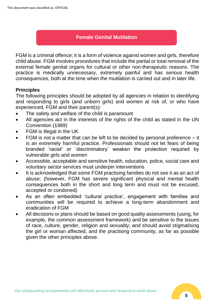# **Female Genital Mutilation**

FGM is a criminal offence; it is a form of violence against women and girls, therefore child abuse. FGM involves procedures that include the partial or total removal of the external female genital organs for cultural or other non-therapeutic reasons. The practice is medically unnecessary, extremely painful and has serious health consequences, both at the time when the mutilation is carried out and in later life.

# **Principles**

The following principles should be adopted by all agencies in relation to identifying and responding to girls (and unborn girls) and women at risk of, or who have experienced, FGM and their parent(s):

- The safety and welfare of the child is paramount
- All agencies act in the interests of the rights of the child as stated in the UN Convention (1989)
- FGM is illegal in the UK
- FGM is not a matter that can be left to be decided by personal preference  $-$  it is an extremely harmful practice. Professionals should not let fears of being branded 'racist' or 'discriminatory' weaken the protection required by vulnerable girls and women
- Accessible, acceptable and sensitive health, education, police, social care and voluntary sector services must underpin interventions
- It is acknowledged that some FGM practising families do not see it as an act of abuse; (however, FGM has severe significant physical and mental health consequences both in the short and long term and must not be excused, accepted or condoned)
- As an often embedded 'cultural practice', engagement with families and communities will be required to achieve a long-term abandonment and eradication of FGM
- All decisions or plans should be based on good quality assessments (using, for example, the common assessment framework) and be sensitive to the issues of race, culture, gender, religion and sexuality; and should avoid stigmatising the girl or woman affected, and the practising community, as far as possible given the other principles above.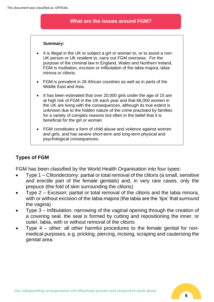## **What are the issues around FGM?**

#### **Summary:**

- It is illegal in the UK to subject a girl or woman to, or to assist a non-UK person or UK resident to, carry out FGM overseas. For the purpose of the criminal law in England, Wales and Northern Ireland, FGM is mutilation, excision or infibulation of the labia majora, labia minora or clitoris.
- FGM is prevalent in 28 African countries as well as in parts of the Middle East and Asia.
- It has been estimated that over 20,000 girls under the age of 15 are at high risk of FGM in the UK each year and that 66,000 women in the UK are living with the consequences, although its true extent is unknown due to the hidden nature of the crime practised by families for a variety of complex reasons but often in the belief that it is beneficial for the girl or woman
- FGM constitutes a form of child abuse and violence against women and girls, and has severe short-term and long-term physical and psychological consequences.

# **Types of FGM**

FGM has been classified by the World Health Organisation into four types:

- Type 1 Clitoridectomy: partial or total removal of the clitoris (a small, sensitive and erectile part of the female genitals) and, in very rare cases, only the prepuce (the fold of skin surrounding the clitoris)
- Type 2 Excision: partial or total removal of the clitoris and the labia minora, with or without excision of the labia majora (the labia are the 'lips' that surround the vagina)
- Type 3 Infibulation: narrowing of the vaginal opening through the creation of a covering seal. the seal is formed by cutting and repositioning the inner, or outer, labia, with or without removal of the clitoris
- Type 4 other: all other harmful procedures to the female genital for nonmedical purposes, e.g. pricking, piercing, incising, scraping and cauterising the genital area.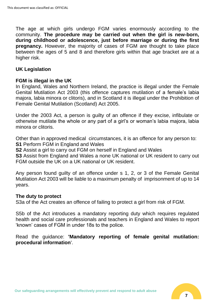The age at which girls undergo FGM varies enormously according to the community. **The procedure may be carried out when the girl is new-born, during childhood or adolescence, just before marriage or during the first pregnancy.** However, the majority of cases of FGM are thought to take place between the ages of 5 and 8 and therefore girls within that age bracket are at a higher risk.

## **UK Legislation**

## **FGM is illegal in the UK**

In England, Wales and Northern Ireland, the practice is illegal under the Female Genital Mutilation Act 2003 (this offence captures mutilation of a female's labia majora, labia minora or clitoris), and in Scotland it is illegal under the Prohibition of Female Genital Mutilation (Scotland) Act 2005.

Under the 2003 Act, a person is guilty of an offence if they excise, infibulate or otherwise mutilate the whole or any part of a girl's or woman's labia majora, labia minora or clitoris.

Other than in approved medical circumstances, it is an offence for any person to: **S1** Perform FGM in England and Wales

**S2** Assist a girl to carry out FGM on herself in England and Wales

**S3** Assist from England and Wales a none UK national or UK resident to carry out FGM outside the UK on a UK national or UK resident.

Any person found guilty of an offence under s 1, 2, or 3 of the Female Genital Mutilation Act 2003 will be liable to a maximum penalty of imprisonment of up to 14 years.

#### **The duty to protect**

S3a of the Act creates an offence of failing to protect a girl from risk of FGM.

S5b of the Act introduces a mandatory reporting duty which requires regulated health and social care professionals and teachers in England and Wales to report 'known' cases of FGM in under 18s to the police.

Read the guidance: **'Mandatory reporting of female genital mutilation: procedural information**'.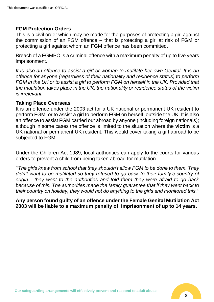# **FGM Protection Orders**

This is a civil order which may be made for the purposes of protecting a girl against the commission of an FGM offence – that is protecting a girl at risk of FGM or protecting a girl against whom an FGM offence has been committed.

Breach of a FGMPO is a criminal offence with a maximum penalty of up to five years imprisonment.

*It is also an offence to assist a girl or woman to mutilate her own Genital. It is an offence for anyone (regardless of their nationality and residence status) to perform FGM in the UK or to assist a girl to perform FGM on herself in the UK. Provided that the mutilation takes place in the UK, the nationality or residence status of the victim is irrelevant.*

## **Taking Place Overseas**

It is an offence under the 2003 act for a UK national or permanent UK resident to perform FGM, or to assist a girl to perform FGM on herself, outside the UK. It is also an offence to assist FGM carried out abroad by anyone (including foreign nationals); although in some cases the offence is limited to the situation where the **victim** is a UK national or permanent UK resident. This would cover taking a girl abroad to be subjected to FGM.

Under the Children Act 1989, local authorities can apply to the courts for various orders to prevent a child from being taken abroad for mutilation.

*''The girls knew from school that they shouldn't allow FGM to be done to them. They didn't want to be mutilated so they refused to go back to their family's country of origin... they went to the authorities and told them they were afraid to go back because of this. The authorities made the family guarantee that if they went back to their country on holiday, they would not do anything to the girls and monitored this.''*

**Any person found guilty of an offence under the Female Genital Mutilation Act 2003 will be liable to a maximum penalty of imprisonment of up to 14 years.**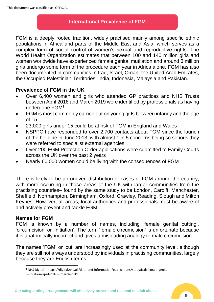# **International Prevalence of FGM**

FGM is a deeply rooted tradition, widely practised mainly among specific ethnic populations in Africa and parts of the Middle East and Asia, which serves as a complex form of social control of women's sexual and reproductive rights. The World Health Organization estimates that between 100 and 140 million girls and women worldwide have experienced female genital mutilation and around 3 million girls undergo some form of the procedure each year in Africa alone. FGM has also been documented in communities in Iraq, Israel, Oman, the United Arab Emirates, the Occupied Palestinian Territories, India, Indonesia, Malaysia and Pakistan.

# **Prevalence of FGM in the UK**

- Over 6,400 women and girls who attended GP practices and NHS Trusts between April 2018 and March 2019 were identified by professionals as having undergone FGM<sup>1</sup>
- FGM is most commonly carried out on young girls between infancy and the age of 15
- 23,000 girls under 15 could be at risk of FGM in England and Wales
- NSPPC have responded to over 2,700 contacts about FGM since the launch of the helpline in June 2013, with almost 1 in 5 concerns being so serious they were referred to specialist external agencies
- Over 200 FGM Protection Order applications were submitted to Family Courts across the UK over the past 2 years
- Nearly 60,000 women could be living with the consequences of FGM

There is likely to be an uneven distribution of cases of FGM around the country, with more occurring in those areas of the UK with larger communities from the practising countries– found by the same study to be London, Cardiff, Manchester, Sheffield, Northampton, Birmingham, Oxford, Crawley, Reading, Slough and Milton Keynes. However, all areas, local authorities and professionals must be aware of and actively prevent and tackle FGM.

## **Names for FGM**

FGM is known by a number of names, including 'female genital cutting', 'circumcision' or 'initiation'. The term 'female circumcision' is unfortunate because it is anatomically incorrect and gives a misleading analogy to male circumcision.

The names 'FGM' or 'cut' are increasingly used at the community level, although they are still not always understood by individuals in practising communities, largely because they are English terms.

<sup>1</sup> NHS Digital - https://digital.nhs.uk/data-and-information/publications/statistical/female-genitalmutilation/april-2018---march-2019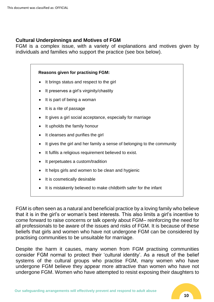# **Cultural Underpinnings and Motives of FGM**

FGM is a complex issue, with a variety of explanations and motives given by individuals and families who support the practice (see box below).

#### **Reasons given for practising FGM:**

- It brings status and respect to the girl
- It preserves a girl's virginity/chastity
- It is part of being a woman
- It is a rite of passage
- It gives a girl social acceptance, especially for marriage
- It upholds the family honour
- It cleanses and purifies the girl
- It gives the girl and her family a sense of belonging to the community
- It fulfils a religious requirement believed to exist.
- It perpetuates a custom/tradition
- It helps girls and women to be clean and hygienic
- It is cosmetically desirable
- It is mistakenly believed to make childbirth safer for the infant

FGM is often seen as a natural and beneficial practice by a loving family who believe that it is in the girl's or woman's best interests. This also limits a girl's incentive to come forward to raise concerns or talk openly about FGM– reinforcing the need for all professionals to be aware of the issues and risks of FGM. It is because of these beliefs that girls and women who have not undergone FGM can be considered by practising communities to be unsuitable for marriage.

Despite the harm it causes, many women from FGM practising communities consider FGM normal to protect their 'cultural identity'. As a result of the belief systems of the cultural groups who practise FGM, many women who have undergone FGM believe they appear more attractive than women who have not undergone FGM. Women who have attempted to resist exposing their daughters to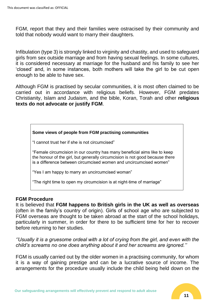FGM, report that they and their families were ostracised by their community and told that nobody would want to marry their daughters.

Infibulation (type 3) is strongly linked to virginity and chastity, and used to safeguard girls from sex outside marriage and from having sexual feelings. In some cultures, it is considered necessary at marriage for the husband and his family to see her 'closed' and, in some instances, both mothers will take the girl to be cut open enough to be able to have sex.

Although FGM is practised by secular communities, it is most often claimed to be carried out in accordance with religious beliefs. However, FGM predates Christianity, Islam and Judaism, and the bible, Koran, Torah and other **religious texts do not advocate or justify FGM**.

#### **Some views of people from FGM practising communities**

"I cannot trust her if she is not circumcised"

"Female circumcision in our country has many beneficial aims like to keep the honour of the girl, but generally circumcision is not good because there is a difference between circumcised women and uncircumcised women"

"Yes I am happy to marry an uncircumcised woman"

"The right time to open my circumcision is at night-time of marriage"

## **FGM Procedure**

It is believed that **FGM happens to British girls in the UK as well as overseas**  (often in the family's country of origin). Girls of school age who are subjected to FGM overseas are thought to be taken abroad at the start of the school holidays, particularly in summer, in order for there to be sufficient time for her to recover before returning to her studies.

*''Usually it is a gruesome ordeal with a lot of crying from the girl, and even with the child's screams no one does anything about it and her screams are ignored.''*

FGM is usually carried out by the older women in a practising community, for whom it is a way of gaining prestige and can be a lucrative source of income. The arrangements for the procedure usually include the child being held down on the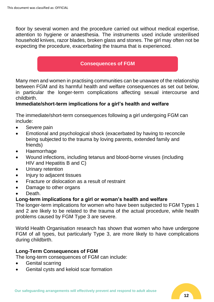floor by several women and the procedure carried out without medical expertise, attention to hygiene or anaesthesia. The instruments used include unsterilised household knives, razor blades, broken glass and stones. The girl may often not be expecting the procedure, exacerbating the trauma that is experienced.

# **Consequences of FGM**

Many men and women in practising communities can be unaware of the relationship between FGM and its harmful health and welfare consequences as set out below, in particular the longer-term complications affecting sexual intercourse and childbirth.

# **Immediate/short-term implications for a girl's health and welfare**

The immediate/short-term consequences following a girl undergoing FGM can include:

- Severe pain
- Emotional and psychological shock (exacerbated by having to reconcile being subjected to the trauma by loving parents, extended family and friends)
- Haemorrhage
- Wound infections, including tetanus and blood-borne viruses (including HIV and Hepatitis B and C)
- Urinary retention
- Injury to adjacent tissues
- Fracture or dislocation as a result of restraint
- Damage to other organs
- Death.

# **Long-term implications for a girl or woman's health and welfare**

The longer-term implications for women who have been subjected to FGM Types 1 and 2 are likely to be related to the trauma of the actual procedure, while health problems caused by FGM Type 3 are severe.

World Health Organisation research has shown that women who have undergone FGM of all types, but particularly Type 3, are more likely to have complications during childbirth.

# **Long-Term Consequences of FGM**

The long-term consequences of FGM can include:

- Genital scarring
- Genital cysts and keloid scar formation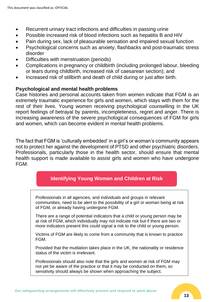- Recurrent urinary tract infections and difficulties in passing urine
- Possible increased risk of blood infections such as hepatitis B and HIV
- Pain during sex, lack of pleasurable sensation and impaired sexual function
- Psychological concerns such as anxiety, flashbacks and post-traumatic stress disorder
- Difficulties with menstruation (periods)
- Complications in pregnancy or childbirth (including prolonged labour, bleeding or tears during childbirth, increased risk of caesarean section); and
- Increased risk of stillbirth and death of child during or just after birth.

# **Psychological and mental health problems**

Case histories and personal accounts taken from women indicate that FGM is an extremely traumatic experience for girls and women, which stays with them for the rest of their lives. Young women receiving psychological counselling in the UK report feelings of betrayal by parents, incompleteness, regret and anger. There is increasing awareness of the severe psychological consequences of FGM for girls and women, which can become evident in mental health problems.

The fact that FGM is 'culturally embedded' in a girl's or woman's community appears not to protect her against the development of PTSD and other psychiatric disorders. Professionals, particularly those in the health sector, should ensure that mental health support is made available to assist girls and women who have undergone FGM.

# **Identifying Young Women and Children at Risk**

Professionals in all agencies, and individuals and groups in relevant communities, need to be alert to the possibility of a girl or woman being at risk of FGM, or already having undergone FGM.

There are a range of potential indicators that a child or young person may be at risk of FGM, which individually may not indicate risk but if there are two or more indicators present this could signal a risk to the child or young person.

Victims of FGM are likely to come from a community that is known to practice FGM.

Provided that the mutilation takes place in the UK, the nationality or residence status of the victim is irrelevant.

Professionals should also note that the girls and women at risk of FGM may not yet be aware of the practice or that it may be conducted on them, so sensitivity should always be shown when approaching the subject.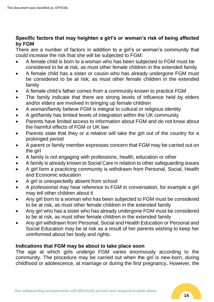# **Specific factors that may heighten a girl's or woman's risk of being affected by FGM**

There are a number of factors in addition to a girl's or woman's community that could increase the risk that she will be subjected to FGM:

- A female child is born to a woman who has been subjected to FGM must be considered to be at risk, as must other female children in the extended family
- A female child has a sister or cousin who has already undergone FGM must be considered to be at risk, as must other female children in the extended family
- A female child's father comes from a community known to practice FGM
- The family indicate that there are strong levels of influence held by elders and/or elders are involved in bringing up female children
- A woman/family believe FGM is integral to cultural or religious identity
- A girl/family has limited levels of integration within the UK community
- Parents have limited access to information about FGM and do not know about the harmful effects of FGM or UK law
- Parents state that they or a relative will take the girl out of the country for a prolonged period
- A parent or family member expresses concern that FGM may be carried out on the girl
- A family is not engaging with professions, health, education or other
- A family is already known to Social Care in relation to other safeguarding issues
- A girl form a practicing community is withdrawn from Personal, Social, Health and Economic education
- A girl is unexpectedly absent from school
- A professional may hear reference to FGM in conversation, for example a girl may tell other children about it
- Any girl born to a woman who has been subjected to FGM must be considered to be at risk, as must other female children in the extended family
- Any girl who has a sister who has already undergone FGM must be considered to be at risk, as must other female children in the extended family
- Any girl withdrawn from Personal, Social and Health Education or Personal and Social Education may be at risk as a result of her parents wishing to keep her uninformed about her body and rights.

# **Indications that FGM may be about to take place soon**

The age at which girls undergo FGM varies enormously according to the community. The procedure may be carried out when the girl is new-born, during childhood or adolescence, at marriage or during the first pregnancy**.** However, the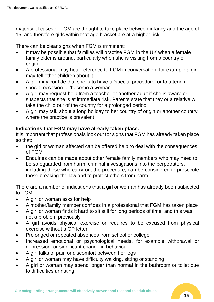majority of cases of FGM are thought to take place between infancy and the age of 15 and therefore girls within that age bracket are at a higher risk.

There can be clear signs when FGM is imminent:

- It may be possible that families will practise FGM in the UK when a female family elder is around, particularly when she is visiting from a country of origin
- A professional may hear reference to FGM in conversation, for example a girl may tell other children about it
- A girl may confide that she is to have a 'special procedure' or to attend a special occasion to 'become a woman'
- A girl may request help from a teacher or another adult if she is aware or suspects that she is at immediate risk. Parents state that they or a relative will take the child out of the country for a prolonged period
- A girl may talk about a long holiday to her country of origin or another country where the practice is prevalent.

# **Indications that FGM may have already taken place:**

It is important that professionals look out for signs that FGM has already taken place so that:

- the girl or woman affected can be offered help to deal with the consequences of FGM
- Enquiries can be made about other female family members who may need to be safeguarded from harm; criminal investigations into the perpetrators, including those who carry out the procedure, can be considered to prosecute those breaking the law and to protect others from harm.

There are a number of indications that a girl or woman has already been subjected to FGM:

- A girl or woman asks for help
- A mother/family member confides in a professional that FGM has taken place
- A girl or woman finds it hard to sit still for long periods of time, and this was not a problem previously
- A girl avoids physical exercise or requires to be excused from physical exercise without a GP letter
- Prolonged or repeated absences from school or college
- Increased emotional or psychological needs, for example withdrawal or depression, or significant change in behaviour
- A girl talks of pain or discomfort between her legs
- A girl or woman may have difficulty walking, sitting or standing
- A girl or woman may spend longer than normal in the bathroom or toilet due to difficulties urinating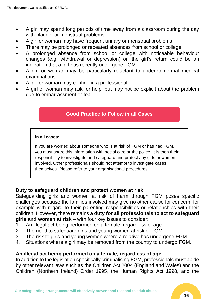- A girl may spend long periods of time away from a classroom during the day with bladder or menstrual problems
- A girl or woman may have frequent urinary or menstrual problems
- There may be prolonged or repeated absences from school or college
- A prolonged absence from school or college with noticeable behaviour changes (e.g. withdrawal or depression) on the girl's return could be an indication that a girl has recently undergone FGM
- A girl or woman may be particularly reluctant to undergo normal medical examinations
- A girl or woman may confide in a professional
- A girl or woman may ask for help, but may not be explicit about the problem due to embarrassment or fear.

# **Good Practice to Follow in all Cases**

#### **In all cases:**

If you are worried about someone who is at risk of FGM or has had FGM, you must share this information with social care or the police. It is then their responsibility to investigate and safeguard and protect any girls or women involved. Other professionals should not attempt to investigate cases themselves. Please refer to your organisational procedures.

# **Duty to safeguard children and protect women at risk**

Safeguarding girls and women at risk of harm through FGM poses specific challenges because the families involved may give no other cause for concern, for example with regard to their parenting responsibilities or relationships with their children. However, there remains **a duty for all professionals to act to safeguard girls and women at risk** – with four key issues to consider:

- 1. An illegal act being performed on a female, regardless of age
- 2. The need to safeguard girls and young women at risk of FGM
- 3. The risk to girls and young women where a relative has undergone FGM
- 4. Situations where a girl may be removed from the country to undergo FGM.

# **An illegal act being performed on a female, regardless of age**

In addition to the legislation specifically criminalising FGM, professionals must abide by other relevant laws such as the Children Act 2004 (England and Wales) and the Children (Northern Ireland) Order 1995, the Human Rights Act 1998, and the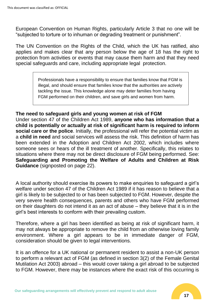European Convention on Human Rights, particularly Article 3 that no one will be "subjected to torture or to inhuman or degrading treatment or punishment".

The UN Convention on the Rights of the Child, which the UK has ratified, also applies and makes clear that any person below the age of 18 has the right to protection from activities or events that may cause them harm and that they need special safeguards and care, including appropriate legal protection.

> Professionals have a responsibility to ensure that families know that FGM is illegal, and should ensure that families know that the authorities are actively tackling the issue. This knowledge alone may deter families from having FGM performed on their children, and save girls and women from harm.

## **The need to safeguard girls and young women at risk of FGM**

Under section 47 of the Children Act 1989, **anyone who has information that a child is potentially or actually at risk of significant harm is required to inform social care or the police**. Initially, the professional will refer the potential victim as a **child in need** and social services will assess the risk. This definition of harm has been extended in the Adoption and Children Act 2002, which includes where someone sees or hears of the ill treatment of another. Specifically, this relates to situations where there may not be direct disclosure of FGM being performed. See: **Safeguarding and Promoting the Welfare of Adults and Children at Risk Guidance** (signposted on page 22).

A local authority should exercise its powers to make enquiries to safeguard a girl's welfare under section 47 of the Children Act 1989 if it has reason to believe that a girl is likely to be subjected to or has been subjected to FGM. However, despite the very severe health consequences, parents and others who have FGM performed on their daughters do not intend it as an act of abuse – they believe that it is in the girl's best interests to conform with their prevailing custom.

Therefore, where a girl has been identified as being at risk of significant harm, it may not always be appropriate to remove the child from an otherwise loving family environment. Where a girl appears to be in immediate danger of FGM, consideration should be given to legal interventions.

It is an offence for a UK national or permanent resident to assist a non-UK person to perform a relevant act of FGM (as defined in section 3(2) of the Female Genital Mutilation Act 2003) abroad – this would cover taking a girl abroad to be subjected to FGM. However, there may be instances where the exact risk of this occurring is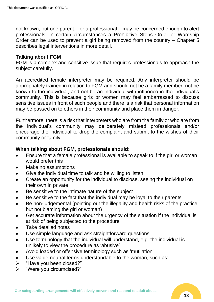not known, but one parent – or a professional – may be concerned enough to alert professionals. In certain circumstances a Prohibitive Steps Order or Wardship Order can be used to prevent a girl being removed from the country – Chapter 5 describes legal interventions in more detail.

#### **Talking about FGM**

FGM is a complex and sensitive issue that requires professionals to approach the subject carefully.

An accredited female interpreter may be required. Any interpreter should be appropriately trained in relation to FGM and should not be a family member, not be known to the individual, and not be an individual with influence in the individual's community. This is because girls or women may feel embarrassed to discuss sensitive issues in front of such people and there is a risk that personal information may be passed on to others in their community and place them in danger.

Furthermore, there is a risk that interpreters who are from the family or who are from the individual's community may deliberately mislead professionals and/or encourage the individual to drop the complaint and submit to the wishes of their community or family.

## **When talking about FGM, professionals should:**

- Ensure that a female professional is available to speak to if the girl or woman would prefer this
- Make no assumptions
- Give the individual time to talk and be willing to listen
- Create an opportunity for the individual to disclose, seeing the individual on their own in private
- Be sensitive to the intimate nature of the subject
- Be sensitive to the fact that the individual may be loyal to their parents
- Be non-judgemental (pointing out the illegality and health risks of the practice, but not blaming the girl or woman)
- Get accurate information about the urgency of the situation if the individual is at risk of being subjected to the procedure
- Take detailed notes
- Use simple language and ask straightforward questions
- Use terminology that the individual will understand, e.g. the individual is unlikely to view the procedure as 'abusive'
- Avoid loaded or offensive terminology such as 'mutilation'
- Use value-neutral terms understandable to the woman, such as:
- ➢ "Have you been closed?"
- ➢ "Were you circumcised?"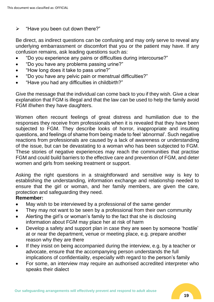# $\triangleright$  "Have you been cut down there?"

Be direct, as indirect questions can be confusing and may only serve to reveal any underlying embarrassment or discomfort that you or the patient may have. If any confusion remains, ask leading questions such as:

- "Do you experience any pains or difficulties during intercourse?"
- "Do you have any problems passing urine?"
- "How long does it take to pass urine?"
- "Do you have any pelvic pain or menstrual difficulties?"
- "Have you had any difficulties in childbirth?"

Give the message that the individual can come back to you if they wish. Give a clear explanation that FGM is illegal and that the law can be used to help the family avoid FGM if/when they have daughters.

Women often recount feelings of great distress and humiliation due to the responses they receive from professionals when it is revealed that they have been subjected to FGM. They describe looks of horror, inappropriate and insulting questions, and feelings of shame from being made to feel 'abnormal'. Such negative reactions from professionals are caused by a lack of awareness or understanding of the issue, but can be devastating to a woman who has been subjected to FGM. These stories of negative experiences may reach the communities that practise FGM and could build barriers to the effective care and prevention of FGM, and deter women and girls from seeking treatment or support.

Asking the right questions in a straightforward and sensitive way is key to establishing the understanding, information exchange and relationship needed to ensure that the girl or woman, and her family members, are given the care, protection and safeguarding they need.

# **Remember:**

- May wish to be interviewed by a professional of the same gender
- They may not want to be seen by a professional from their own community
- Alerting the girl's or woman's family to the fact that she is disclosing information about FGM may place her at risk of harm
- Develop a safety and support plan in case they are seen by someone 'hostile' at or near the department, venue or meeting place, e.g. prepare another reason why they are there
- If they insist on being accompanied during the interview, e.g. by a teacher or advocate, ensure that the accompanying person understands the full implications of confidentiality, especially with regard to the person's family
- For some, an interview may require an authorised accredited interpreter who speaks their dialect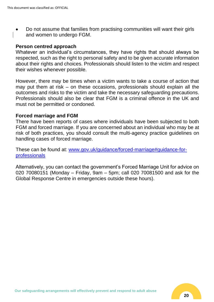• Do not assume that families from practising communities will want their girls and women to undergo FGM.

#### **Person centred approach**

Whatever an individual's circumstances, they have rights that should always be respected, such as the right to personal safety and to be given accurate information about their rights and choices. Professionals should listen to the victim and respect their wishes whenever possible.

However, there may be times when a victim wants to take a course of action that may put them at risk – on these occasions, professionals should explain all the outcomes and risks to the victim and take the necessary safeguarding precautions. Professionals should also be clear that FGM is a criminal offence in the UK and must not be permitted or condoned.

#### **Forced marriage and FGM**

There have been reports of cases where individuals have been subjected to both FGM and forced marriage. If you are concerned about an individual who may be at risk of both practices, you should consult the multi-agency practice guidelines on handling cases of forced marriage.

These can be found at: [www.gov.uk/guidance/forced-marriage#guidance-for](file://///sbcmb-fs-01/CESC/Teeswide%20Safeguarding%20Adults%20Board/3.%20SUB-GROUPS/2.%20Learning%20Training%20&%20Development/Workbooks/Workbooks/Safeguarding%20Workbook%20Module%205/www.gov.uk/guidance/forced-marriage%23guidance-for-professionals)[professionals](file://///sbcmb-fs-01/CESC/Teeswide%20Safeguarding%20Adults%20Board/3.%20SUB-GROUPS/2.%20Learning%20Training%20&%20Development/Workbooks/Workbooks/Safeguarding%20Workbook%20Module%205/www.gov.uk/guidance/forced-marriage%23guidance-for-professionals)

Alternatively, you can contact the government's Forced Marriage Unit for advice on 020 70080151 (Monday – Friday, 9am – 5pm; call 020 70081500 and ask for the Global Response Centre in emergencies outside these hours).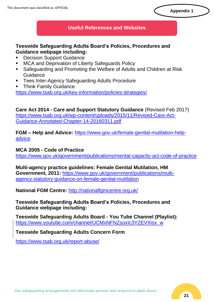## **Useful References and Websites**

## **Teeswide Safeguarding Adults Board's Policies, Procedures and Guidance webpage including:**

- Decision Support Guidance
- MCA and Deprivation of Liberty Safeguards Policy
- Safeguarding and Promoting the Welfare of Adults and Children at Risk Guidance
- Tees Inter-Agency Safeguarding Adults Procedure
- **Think Family Guidance**

<https://www.tsab.org.uk/key-information/policies-strategies/>

**Care Act 2014 - Care and Support Statutory Guidance** (Revised Feb 2017) [https://www.tsab.org.uk/wp-content/uploads/2015/11/Revised-Care-Act-](https://www.tsab.org.uk/wp-content/uploads/2015/11/Revised-Care-Act-Guidance-Annotated-Chapter-14-20160311.pdf)[Guidance-Annotated-Chapter-14-20160311.pdf](https://www.tsab.org.uk/wp-content/uploads/2015/11/Revised-Care-Act-Guidance-Annotated-Chapter-14-20160311.pdf)

**FGM – Help and Advice:** [https://www.gov.uk/female-genital-mutilation-help](https://www.gov.uk/female-genital-mutilation-help-advice)[advice](https://www.gov.uk/female-genital-mutilation-help-advice)

#### **MCA 2005 - Code of Practice**

<https://www.gov.uk/government/publications/mental-capacity-act-code-of-practice>

**Multi-agency practice guidelines: Female Genital Mutilation, HM Government, 2011:** [https://www.gov.uk/government/publications/multi](https://www.gov.uk/government/publications/multi-agency-statutory-guidance-on-female-genital-mutilation)[agency-statutory-guidance-on-female-genital-mutilation](https://www.gov.uk/government/publications/multi-agency-statutory-guidance-on-female-genital-mutilation)

**National FGM Centre:** <http://nationalfgmcentre.org.uk/>

**Teeswide Safeguarding Adults Board's Policies, Procedures and Guidance webpage including:**

**Teeswide Safeguarding Adults Board - You Tube Channel (Playlist):** [https://www.youtube.com/channel/UCMxNFNZsoxIc3YZEVXisx\\_w](https://www.youtube.com/channel/UCMxNFNZsoxIc3YZEVXisx_w)

**Teeswide Safeguarding Adults Concern Form**

https://www.tsab.org.uk/report-abuse/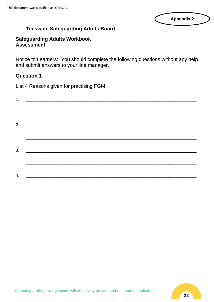## **Appendix 2**

# **Teeswide Safeguarding Adults Board**

## **Safeguarding Adults Workbook Assessment**

Notice to Learners: You should complete the following questions without any help and submit answers to your line manager.

## **Question 1**

List 4 Reasons given for practising FGM

| 4. |  |  |  |
|----|--|--|--|

\_\_\_\_\_\_\_\_\_\_\_\_\_\_\_\_\_\_\_\_\_\_\_\_\_\_\_\_\_\_\_\_\_\_\_\_\_\_\_\_\_\_\_\_\_\_\_\_\_\_\_\_\_\_\_\_\_\_\_\_\_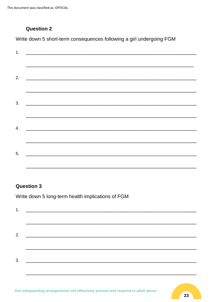This document was classified as: OFFICIAL

# **Question 2**

Write down 5 short-term consequences following a girl undergoing FGM

| 2. | <u> 1980 - Jan Barbara Santan Barat, masa sa kacamatan ing Kabupatèn Barat, masa sa kacamatan ing Kabupatèn Bara</u> |  |  |
|----|----------------------------------------------------------------------------------------------------------------------|--|--|
|    |                                                                                                                      |  |  |
|    | $3.$ $\overline{\phantom{a}}$                                                                                        |  |  |
|    |                                                                                                                      |  |  |
| 4. |                                                                                                                      |  |  |
|    |                                                                                                                      |  |  |
| 5. |                                                                                                                      |  |  |
|    |                                                                                                                      |  |  |

# **Question 3**

Write down 5 long-term health implications of FGM

| 3. |  |  |
|----|--|--|
|    |  |  |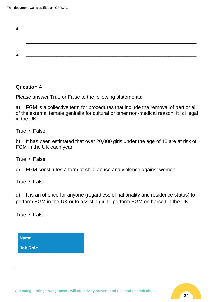| 4. |  |  |
|----|--|--|
|    |  |  |
|    |  |  |
|    |  |  |
|    |  |  |
| 5. |  |  |
|    |  |  |
|    |  |  |

# **Question 4**

Please answer True or False to the following statements:

a) FGM is a collective term for procedures that include the removal of part or all of the external female genitalia for cultural or other non-medical reason, it is illegal in the UK:

True / False

b) It has been estimated that over 20,000 girls under the age of 15 are at risk of FGM in the UK each year:

True / False

c) FGM constitutes a form of child abuse and violence against women:

True / False

d) It is an offence for anyone (regardless of nationality and residence status) to perform FGM in the UK or to assist a girl to perform FGM on herself in the UK:

True / False

| <b>Name</b> |  |
|-------------|--|
| Job Role    |  |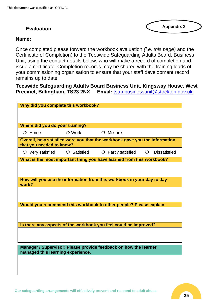# **Evaluation**

**Appendix 3**

#### **Name:**

Once completed please forward the workbook evaluation *(i.e. this page)* and the Certificate of Completion) to the Teeswide Safeguarding Adults Board, Business Unit, using the contact details below, who will make a record of completion and issue a certificate. Completion records may be shared with the training leads of your commissioning organisation to ensure that your staff development record remains up to date.

**Teeswide Safeguarding Adults Board Business Unit, Kingsway House, West Precinct, Billingham, TS23 2NX Email:** [tsab.businessunit@stockton.gov.uk](mailto:tsab.businessunit@stockton.gov.uk)

| Why did you complete this workbook? |                   |                                                                            |         |                     |
|-------------------------------------|-------------------|----------------------------------------------------------------------------|---------|---------------------|
|                                     |                   |                                                                            |         |                     |
|                                     |                   |                                                                            |         |                     |
| Where did you do your training?     |                   |                                                                            |         |                     |
| $O$ Home                            | $\bigcirc$ Work   | $O$ Mixture                                                                |         |                     |
| that you needed to know?            |                   | Overall, how satisfied were you that the workbook gave you the information |         |                     |
| $\circ$ Very satisfied              | $\circ$ Satisfied | $\circ$ Partly satisfied                                                   | $\circ$ | <b>Dissatisfied</b> |
|                                     |                   | What is the most important thing you have learned from this workbook?      |         |                     |
|                                     |                   |                                                                            |         |                     |
|                                     |                   |                                                                            |         |                     |
| work?                               |                   | How will you use the information from this workbook in your day to day     |         |                     |
|                                     |                   |                                                                            |         |                     |
|                                     |                   |                                                                            |         |                     |
|                                     |                   | Would you recommend this workbook to other people? Please explain.         |         |                     |
|                                     |                   |                                                                            |         |                     |
|                                     |                   |                                                                            |         |                     |
|                                     |                   | Is there any aspects of the workbook you feel could be improved?           |         |                     |
|                                     |                   |                                                                            |         |                     |
|                                     |                   |                                                                            |         |                     |
| managed this learning experience.   |                   | Manager / Supervisor: Please provide feedback on how the learner           |         |                     |
|                                     |                   |                                                                            |         |                     |
|                                     |                   |                                                                            |         |                     |